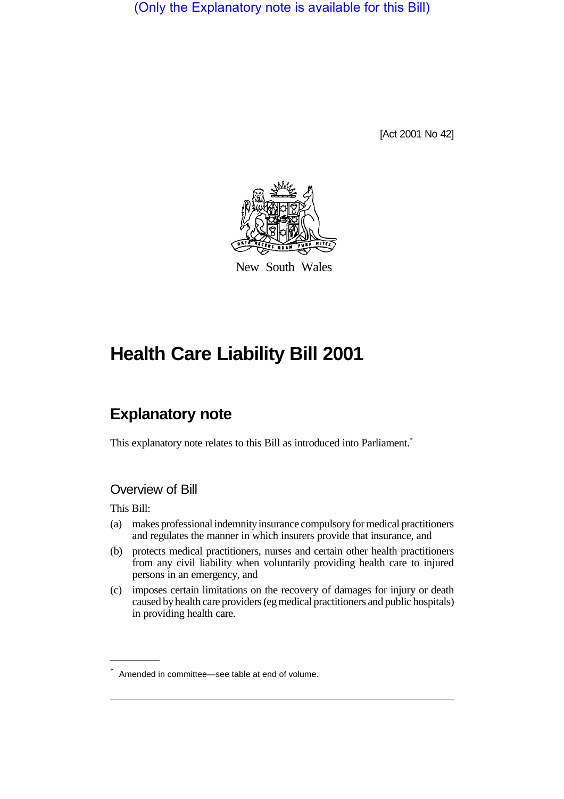(Only the Explanatory note is available for this Bill)

[Act 2001 No 42]



New South Wales

# **Health Care Liability Bill 2001**

# **Explanatory note**

This explanatory note relates to this Bill as introduced into Parliament.<sup>\*</sup>

### Overview of Bill

This Bill:

- (a) makes professional indemnity insurance compulsory for medical practitioners and regulates the manner in which insurers provide that insurance, and
- (b) protects medical practitioners, nurses and certain other health practitioners from any civil liability when voluntarily providing health care to injured persons in an emergency, and
- (c) imposes certain limitations on the recovery of damages for injury or death caused by health care providers (eg medical practitioners and public hospitals) in providing health care.

<sup>\*</sup> Amended in committee—see table at end of volume.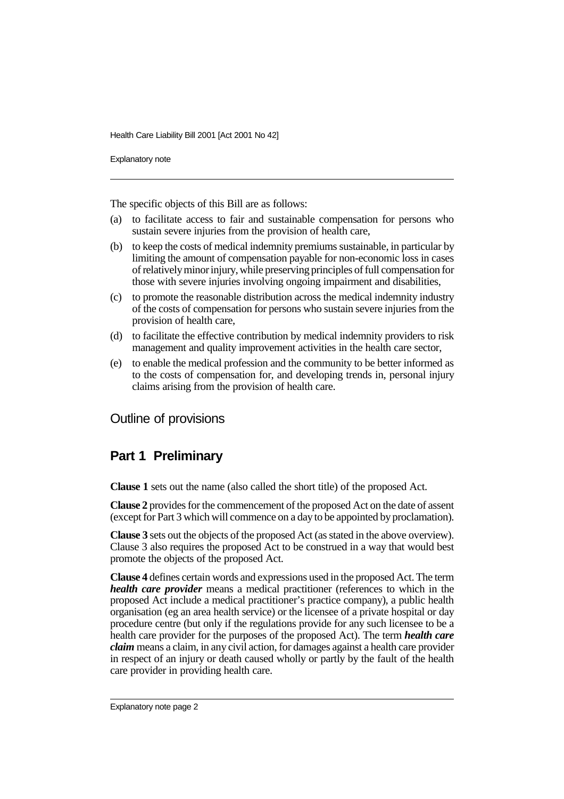Explanatory note

The specific objects of this Bill are as follows:

- (a) to facilitate access to fair and sustainable compensation for persons who sustain severe injuries from the provision of health care,
- (b) to keep the costs of medical indemnity premiums sustainable, in particular by limiting the amount of compensation payable for non-economic loss in cases of relatively minor injury, while preserving principles of full compensation for those with severe injuries involving ongoing impairment and disabilities,
- (c) to promote the reasonable distribution across the medical indemnity industry of the costs of compensation for persons who sustain severe injuries from the provision of health care,
- (d) to facilitate the effective contribution by medical indemnity providers to risk management and quality improvement activities in the health care sector,
- (e) to enable the medical profession and the community to be better informed as to the costs of compensation for, and developing trends in, personal injury claims arising from the provision of health care.

Outline of provisions

# **Part 1 Preliminary**

**Clause 1** sets out the name (also called the short title) of the proposed Act.

**Clause 2** provides for the commencement of the proposed Act on the date of assent (except for Part 3 which will commence on a day to be appointed by proclamation).

**Clause 3** sets out the objects of the proposed Act (as stated in the above overview). Clause 3 also requires the proposed Act to be construed in a way that would best promote the objects of the proposed Act.

**Clause 4** defines certain words and expressions used in the proposed Act. The term *health care provider* means a medical practitioner (references to which in the proposed Act include a medical practitioner's practice company), a public health organisation (eg an area health service) or the licensee of a private hospital or day procedure centre (but only if the regulations provide for any such licensee to be a health care provider for the purposes of the proposed Act). The term *health care claim* means a claim, in any civil action, for damages against a health care provider in respect of an injury or death caused wholly or partly by the fault of the health care provider in providing health care.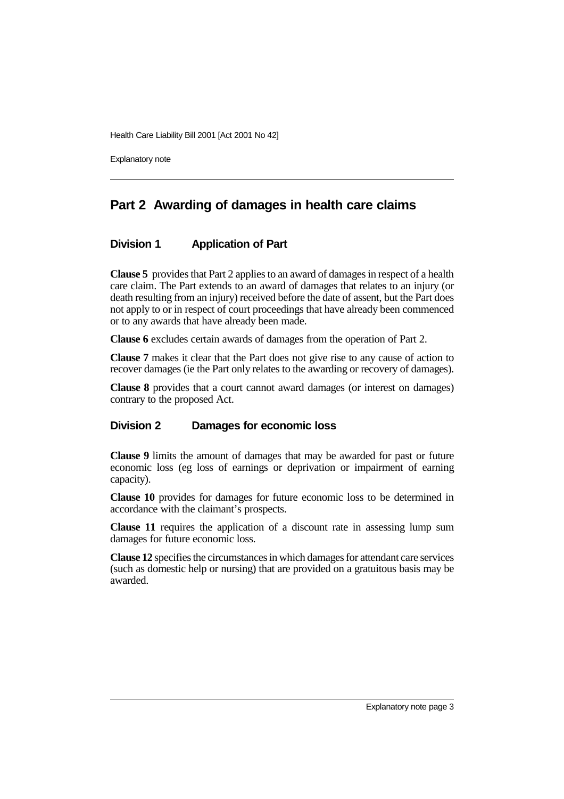Explanatory note

# **Part 2 Awarding of damages in health care claims**

#### **Division 1 Application of Part**

**Clause 5** provides that Part 2 applies to an award of damages in respect of a health care claim. The Part extends to an award of damages that relates to an injury (or death resulting from an injury) received before the date of assent, but the Part does not apply to or in respect of court proceedings that have already been commenced or to any awards that have already been made.

**Clause 6** excludes certain awards of damages from the operation of Part 2.

**Clause 7** makes it clear that the Part does not give rise to any cause of action to recover damages (ie the Part only relates to the awarding or recovery of damages).

**Clause 8** provides that a court cannot award damages (or interest on damages) contrary to the proposed Act.

#### **Division 2 Damages for economic loss**

**Clause 9** limits the amount of damages that may be awarded for past or future economic loss (eg loss of earnings or deprivation or impairment of earning capacity).

**Clause 10** provides for damages for future economic loss to be determined in accordance with the claimant's prospects.

**Clause 11** requires the application of a discount rate in assessing lump sum damages for future economic loss.

**Clause 12** specifies the circumstances in which damages for attendant care services (such as domestic help or nursing) that are provided on a gratuitous basis may be awarded.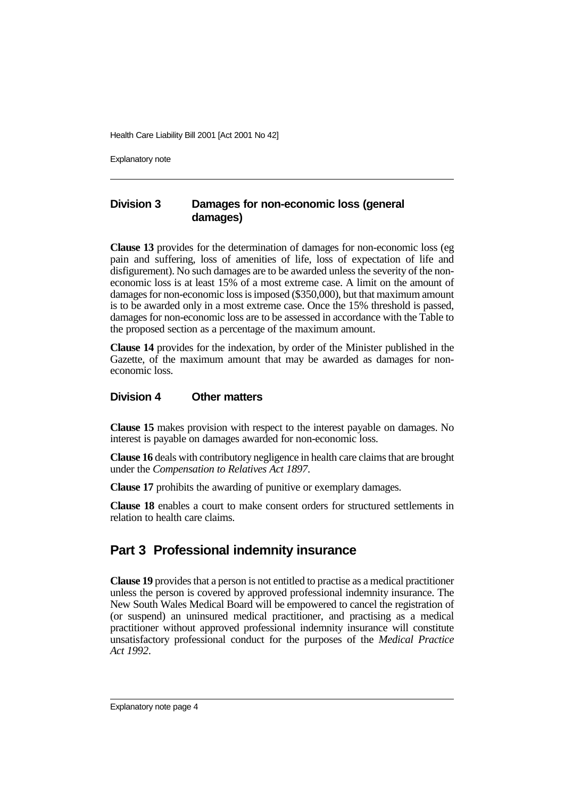Explanatory note

#### **Division 3 Damages for non-economic loss (general damages)**

**Clause 13** provides for the determination of damages for non-economic loss (eg pain and suffering, loss of amenities of life, loss of expectation of life and disfigurement). No such damages are to be awarded unless the severity of the noneconomic loss is at least 15% of a most extreme case. A limit on the amount of damages for non-economic loss is imposed (\$350,000), but that maximum amount is to be awarded only in a most extreme case. Once the 15% threshold is passed, damages for non-economic loss are to be assessed in accordance with the Table to the proposed section as a percentage of the maximum amount.

**Clause 14** provides for the indexation, by order of the Minister published in the Gazette, of the maximum amount that may be awarded as damages for noneconomic loss.

#### **Division 4 Other matters**

**Clause 15** makes provision with respect to the interest payable on damages. No interest is payable on damages awarded for non-economic loss.

**Clause 16** deals with contributory negligence in health care claims that are brought under the *Compensation to Relatives Act 1897*.

**Clause 17** prohibits the awarding of punitive or exemplary damages.

**Clause 18** enables a court to make consent orders for structured settlements in relation to health care claims.

# **Part 3 Professional indemnity insurance**

**Clause 19** provides that a person is not entitled to practise as a medical practitioner unless the person is covered by approved professional indemnity insurance. The New South Wales Medical Board will be empowered to cancel the registration of (or suspend) an uninsured medical practitioner, and practising as a medical practitioner without approved professional indemnity insurance will constitute unsatisfactory professional conduct for the purposes of the *Medical Practice Act 1992*.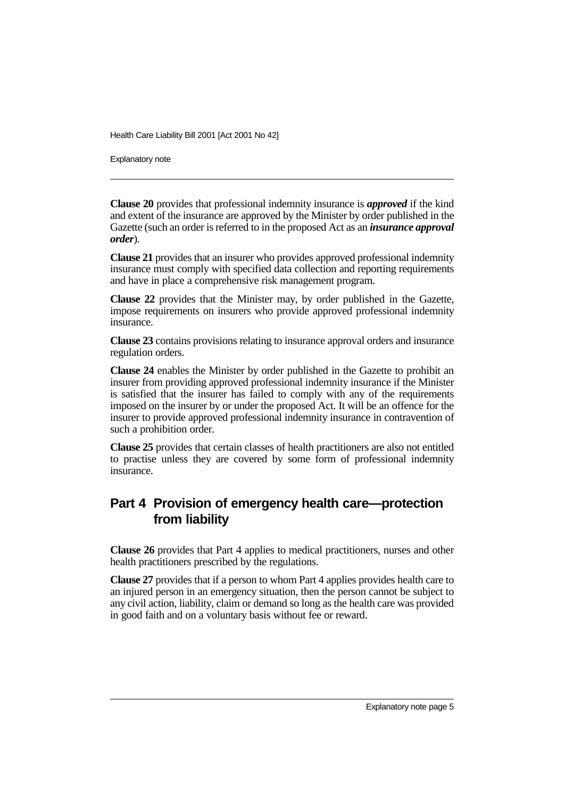Explanatory note

**Clause 20** provides that professional indemnity insurance is *approved* if the kind and extent of the insurance are approved by the Minister by order published in the Gazette (such an order is referred to in the proposed Act as an *insurance approval order*).

**Clause 21** provides that an insurer who provides approved professional indemnity insurance must comply with specified data collection and reporting requirements and have in place a comprehensive risk management program.

**Clause 22** provides that the Minister may, by order published in the Gazette, impose requirements on insurers who provide approved professional indemnity insurance.

**Clause 23** contains provisions relating to insurance approval orders and insurance regulation orders.

**Clause 24** enables the Minister by order published in the Gazette to prohibit an insurer from providing approved professional indemnity insurance if the Minister is satisfied that the insurer has failed to comply with any of the requirements imposed on the insurer by or under the proposed Act. It will be an offence for the insurer to provide approved professional indemnity insurance in contravention of such a prohibition order.

**Clause 25** provides that certain classes of health practitioners are also not entitled to practise unless they are covered by some form of professional indemnity insurance.

# **Part 4 Provision of emergency health care—protection from liability**

**Clause 26** provides that Part 4 applies to medical practitioners, nurses and other health practitioners prescribed by the regulations.

**Clause 27** provides that if a person to whom Part 4 applies provides health care to an injured person in an emergency situation, then the person cannot be subject to any civil action, liability, claim or demand so long as the health care was provided in good faith and on a voluntary basis without fee or reward.